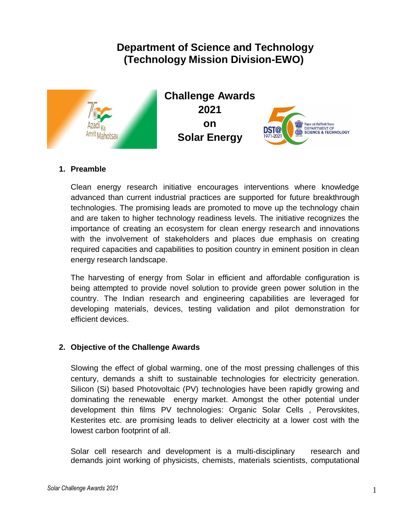# **Department of Science and Technology (Technology Mission Division-EWO)**



**Challenge Awards 2021 on Solar Energy** 



## **1. Preamble**

Clean energy research initiative encourages interventions where knowledge advanced than current industrial practices are supported for future breakthrough technologies. The promising leads are promoted to move up the technology chain and are taken to higher technology readiness levels. The initiative recognizes the importance of creating an ecosystem for clean energy research and innovations with the involvement of stakeholders and places due emphasis on creating required capacities and capabilities to position country in eminent position in clean energy research landscape.

The harvesting of energy from Solar in efficient and affordable configuration is being attempted to provide novel solution to provide green power solution in the country. The Indian research and engineering capabilities are leveraged for developing materials, devices, testing validation and pilot demonstration for efficient devices.

## **2. Objective of the Challenge Awards**

Slowing the effect of global warming, one of the most pressing challenges of this century, demands a shift to sustainable technologies for electricity generation. Silicon (Si) based Photovoltaic (PV) technologies have been rapidly growing and dominating the renewable energy market. Amongst the other potential under development thin films PV technologies: Organic Solar Cells , Perovskites, Kesterites etc. are promising leads to deliver electricity at a lower cost with the lowest carbon footprint of all.

Solar cell research and development is a multi-disciplinary research and demands joint working of physicists, chemists, materials scientists, computational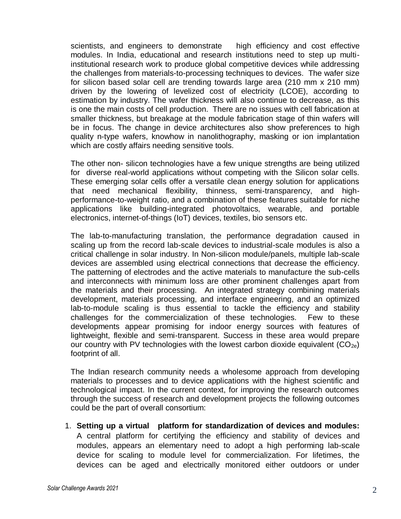scientists, and engineers to demonstrate high efficiency and cost effective modules. In India, educational and research institutions need to step up multiinstitutional research work to produce global competitive devices while addressing the challenges from materials-to-processing techniques to devices. The wafer size for silicon based solar cell are trending towards large area (210 mm x 210 mm) driven by the lowering of levelized cost of electricity (LCOE), according to estimation by industry. The wafer thickness will also continue to decrease, as this is one the main costs of cell production. There are no issues with cell fabrication at smaller thickness, but breakage at the module fabrication stage of thin wafers will be in focus. The change in device architectures also show preferences to high quality n-type wafers, knowhow in nanolithography, masking or ion implantation which are costly affairs needing sensitive tools.

The other non- silicon technologies have a few unique strengths are being utilized for diverse real-world applications without competing with the Silicon solar cells. These emerging solar cells offer a versatile clean energy solution for applications that need mechanical flexibility, thinness, semi-transparency, and highperformance-to-weight ratio, and a combination of these features suitable for niche applications like building-integrated photovoltaics, wearable, and portable electronics, internet-of-things (IoT) devices, textiles, bio sensors etc.

The lab-to-manufacturing translation, the performance degradation caused in scaling up from the record lab-scale devices to industrial-scale modules is also a critical challenge in solar industry. In Non-silicon module/panels, multiple lab-scale devices are assembled using electrical connections that decrease the efficiency. The patterning of electrodes and the active materials to manufacture the sub-cells and interconnects with minimum loss are other prominent challenges apart from the materials and their processing. An integrated strategy combining materials development, materials processing, and interface engineering, and an optimized lab-to-module scaling is thus essential to tackle the efficiency and stability challenges for the commercialization of these technologies. Few to these developments appear promising for indoor energy sources with features of lightweight, flexible and semi-transparent. Success in these area would prepare our country with PV technologies with the lowest carbon dioxide equivalent  $(CO_{2e})$ footprint of all.

The Indian research community needs a wholesome approach from developing materials to processes and to device applications with the highest scientific and technological impact. In the current context, for improving the research outcomes through the success of research and development projects the following outcomes could be the part of overall consortium:

1. **Setting up a virtual platform for standardization of devices and modules:** A central platform for certifying the efficiency and stability of devices and modules, appears an elementary need to adopt a high performing lab-scale device for scaling to module level for commercialization. For lifetimes, the devices can be aged and electrically monitored either outdoors or under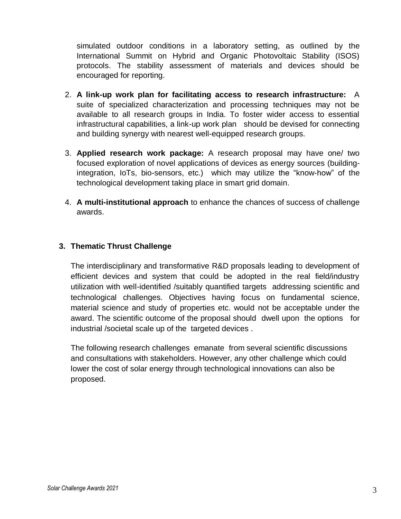simulated outdoor conditions in a laboratory setting, as outlined by the International Summit on Hybrid and Organic Photovoltaic Stability (ISOS) protocols. The stability assessment of materials and devices should be encouraged for reporting.

- 2. **A link-up work plan for facilitating access to research infrastructure:** A suite of specialized characterization and processing techniques may not be available to all research groups in India. To foster wider access to essential infrastructural capabilities, a link-up work plan should be devised for connecting and building synergy with nearest well-equipped research groups.
- 3. **Applied research work package:** A research proposal may have one/ two focused exploration of novel applications of devices as energy sources (buildingintegration, IoTs, bio-sensors, etc.) which may utilize the "know-how" of the technological development taking place in smart grid domain.
- 4. **A multi-institutional approach** to enhance the chances of success of challenge awards.

# **3. Thematic Thrust Challenge**

The interdisciplinary and transformative R&D proposals leading to development of efficient devices and system that could be adopted in the real field/industry utilization with well-identified /suitably quantified targets addressing scientific and technological challenges. Objectives having focus on fundamental science, material science and study of properties etc. would not be acceptable under the award. The scientific outcome of the proposal should dwell upon the options for industrial /societal scale up of the targeted devices .

The following research challenges emanate from several scientific discussions and consultations with stakeholders. However, any other challenge which could lower the cost of solar energy through technological innovations can also be proposed.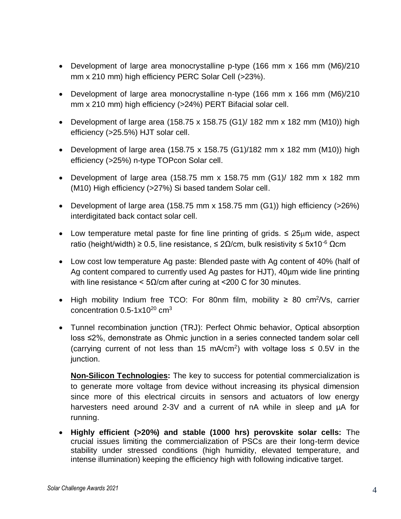- Development of large area monocrystalline p-type (166 mm x 166 mm (M6)/210 mm x 210 mm) high efficiency PERC Solar Cell (>23%).
- Development of large area monocrystalline n-type (166 mm x 166 mm (M6)/210 mm x 210 mm) high efficiency (>24%) PERT Bifacial solar cell.
- Development of large area (158.75 x 158.75 (G1)/ 182 mm x 182 mm (M10)) high efficiency (>25.5%) HJT solar cell.
- Development of large area (158.75 x 158.75 (G1)/182 mm x 182 mm (M10)) high efficiency (>25%) n-type TOPcon Solar cell.
- Development of large area (158.75 mm x 158.75 mm (G1)/ 182 mm x 182 mm (M10) High efficiency (>27%) Si based tandem Solar cell.
- Development of large area (158.75 mm x 158.75 mm (G1)) high efficiency ( $>26\%$ ) interdigitated back contact solar cell.
- Low temperature metal paste for fine line printing of grids.  $\leq 25 \mu m$  wide, aspect ratio (height/width) ≥ 0.5, line resistance, ≤ 2Ω/cm, bulk resistivity ≤ 5x10<sup>-6</sup> Ωcm
- Low cost low temperature Ag paste: Blended paste with Ag content of 40% (half of Ag content compared to currently used Ag pastes for HJT), 40µm wide line printing with line resistance <  $5\Omega$ /cm after curing at <200 C for 30 minutes.
- High mobility Indium free TCO: For 80nm film, mobility  $≥ 80$  cm<sup>2</sup>/Vs, carrier concentration  $0.5-1x10^{20}$  cm<sup>3</sup>
- Tunnel recombination junction (TRJ): Perfect Ohmic behavior, Optical absorption loss ≤2%, demonstrate as Ohmic junction in a series connected tandem solar cell (carrying current of not less than 15 mA/cm<sup>2</sup>) with voltage loss  $\leq$  0.5V in the junction.

**Non-Silicon Technologies:** The key to success for potential commercialization is to generate more voltage from device without increasing its physical dimension since more of this electrical circuits in sensors and actuators of low energy harvesters need around 2-3V and a current of nA while in sleep and µA for running.

 **Highly efficient (>20%) and stable (1000 hrs) perovskite solar cells:** The crucial issues limiting the commercialization of PSCs are their long-term device stability under stressed conditions (high humidity, elevated temperature, and intense illumination) keeping the efficiency high with following indicative target.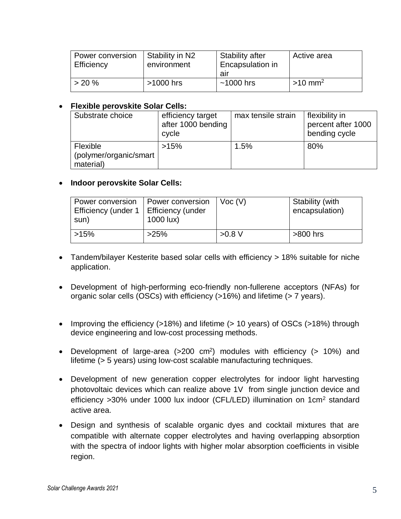| Power conversion<br>Efficiency | Stability in N2<br>environment | <b>Stability after</b><br>Encapsulation in | I Active area         |
|--------------------------------|--------------------------------|--------------------------------------------|-----------------------|
|                                |                                | air                                        |                       |
| $> 20 \%$                      | $>1000$ hrs                    | $~1000$ hrs                                | $>10$ mm <sup>2</sup> |

#### **Flexible perovskite Solar Cells:**

| Substrate choice                                | efficiency target<br>after 1000 bending<br>cycle | max tensile strain | flexibility in<br>percent after 1000<br>bending cycle |
|-------------------------------------------------|--------------------------------------------------|--------------------|-------------------------------------------------------|
| Flexible<br>(polymer/organic/smart<br>material) | >15%                                             | 1.5%               | 80%                                                   |

#### **Indoor perovskite Solar Cells:**

| Power conversion<br>Efficiency (under 1<br>sun) | Power conversion<br>Efficiency (under<br>1000 lux) | $\vert$ Voc (V) | Stability (with<br>encapsulation) |
|-------------------------------------------------|----------------------------------------------------|-----------------|-----------------------------------|
| $>15\%$                                         | >25%                                               | $>0.8$ V        | $>800$ hrs                        |

- Tandem/bilayer Kesterite based solar cells with efficiency > 18% suitable for niche application.
- Development of high-performing eco-friendly non-fullerene acceptors (NFAs) for organic solar cells (OSCs) with efficiency (>16%) and lifetime (> 7 years).
- Improving the efficiency (>18%) and lifetime (> 10 years) of OSCs (>18%) through device engineering and low-cost processing methods.
- Development of large-area (>200 cm<sup>2</sup>) modules with efficiency (> 10%) and lifetime (> 5 years) using low-cost scalable manufacturing techniques.
- Development of new generation copper electrolytes for indoor light harvesting photovoltaic devices which can realize above 1V from single junction device and efficiency >30% under 1000 lux indoor (CFL/LED) illumination on 1cm<sup>2</sup> standard active area.
- Design and synthesis of scalable organic dyes and cocktail mixtures that are compatible with alternate copper electrolytes and having overlapping absorption with the spectra of indoor lights with higher molar absorption coefficients in visible region.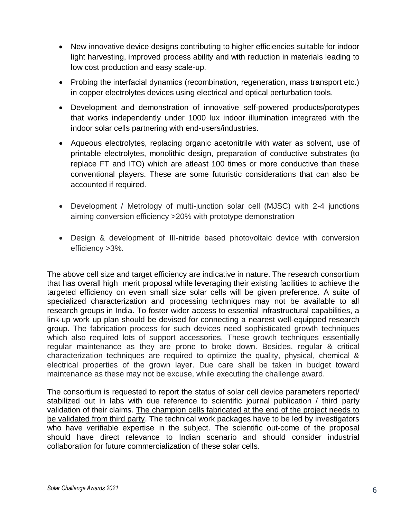- New innovative device designs contributing to higher efficiencies suitable for indoor light harvesting, improved process ability and with reduction in materials leading to low cost production and easy scale-up.
- Probing the interfacial dynamics (recombination, regeneration, mass transport etc.) in copper electrolytes devices using electrical and optical perturbation tools.
- Development and demonstration of innovative self-powered products/porotypes that works independently under 1000 lux indoor illumination integrated with the indoor solar cells partnering with end-users/industries.
- Aqueous electrolytes, replacing organic acetonitrile with water as solvent, use of printable electrolytes, monolithic design, preparation of conductive substrates (to replace FT and ITO) which are atleast 100 times or more conductive than these conventional players. These are some futuristic considerations that can also be accounted if required.
- Development / Metrology of multi-junction solar cell (MJSC) with 2-4 junctions aiming conversion efficiency >20% with prototype demonstration
- Design & development of III-nitride based photovoltaic device with conversion efficiency >3%.

The above cell size and target efficiency are indicative in nature. The research consortium that has overall high merit proposal while leveraging their existing facilities to achieve the targeted efficiency on even small size solar cells will be given preference. A suite of specialized characterization and processing techniques may not be available to all research groups in India. To foster wider access to essential infrastructural capabilities, a link-up work up plan should be devised for connecting a nearest well-equipped research group. The fabrication process for such devices need sophisticated growth techniques which also required lots of support accessories. These growth techniques essentially regular maintenance as they are prone to broke down. Besides, regular & critical characterization techniques are required to optimize the quality, physical, chemical & electrical properties of the grown layer. Due care shall be taken in budget toward maintenance as these may not be excuse, while executing the challenge award.

The consortium is requested to report the status of solar cell device parameters reported/ stabilized out in labs with due reference to scientific journal publication / third party validation of their claims. The champion cells fabricated at the end of the project needs to be validated from third party. The technical work packages have to be led by investigators who have verifiable expertise in the subject. The scientific out-come of the proposal should have direct relevance to Indian scenario and should consider industrial collaboration for future commercialization of these solar cells.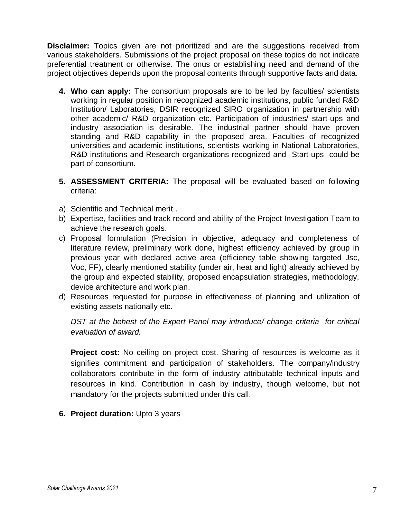**Disclaimer:** Topics given are not prioritized and are the suggestions received from various stakeholders. Submissions of the project proposal on these topics do not indicate preferential treatment or otherwise. The onus or establishing need and demand of the project objectives depends upon the proposal contents through supportive facts and data.

- **4. Who can apply:** The consortium proposals are to be led by faculties/ scientists working in regular position in recognized academic institutions, public funded R&D Institution/ Laboratories, DSIR recognized SIRO organization in partnership with other academic/ R&D organization etc. Participation of industries/ start-ups and industry association is desirable. The industrial partner should have proven standing and R&D capability in the proposed area. Faculties of recognized universities and academic institutions, scientists working in National Laboratories, R&D institutions and Research organizations recognized and Start-ups could be part of consortium.
- **5. ASSESSMENT CRITERIA:** The proposal will be evaluated based on following criteria:
- a) Scientific and Technical merit .
- b) Expertise, facilities and track record and ability of the Project Investigation Team to achieve the research goals.
- c) Proposal formulation (Precision in objective, adequacy and completeness of literature review, preliminary work done, highest efficiency achieved by group in previous year with declared active area (efficiency table showing targeted Jsc, Voc, FF), clearly mentioned stability (under air, heat and light) already achieved by the group and expected stability, proposed encapsulation strategies, methodology, device architecture and work plan.
- d) Resources requested for purpose in effectiveness of planning and utilization of existing assets nationally etc.

*DST at the behest of the Expert Panel may introduce/ change criteria for critical evaluation of award.*

**Project cost:** No ceiling on project cost. Sharing of resources is welcome as it signifies commitment and participation of stakeholders. The company/industry collaborators contribute in the form of industry attributable technical inputs and resources in kind. Contribution in cash by industry, though welcome, but not mandatory for the projects submitted under this call.

**6. Project duration:** Upto 3 years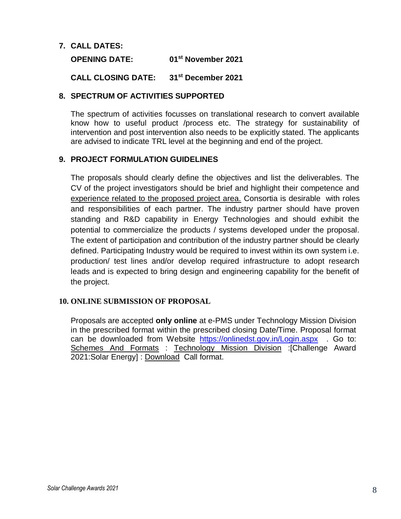#### **7. CALL DATES:**

**OPENING DATE: 01st November 2021**

**CALL CLOSING DATE: 31st December 2021**

### **8. SPECTRUM OF ACTIVITIES SUPPORTED**

The spectrum of activities focusses on translational research to convert available know how to useful product /process etc. The strategy for sustainability of intervention and post intervention also needs to be explicitly stated. The applicants are advised to indicate TRL level at the beginning and end of the project.

## **9. PROJECT FORMULATION GUIDELINES**

The proposals should clearly define the objectives and list the deliverables. The CV of the project investigators should be brief and highlight their competence and experience related to the proposed project area. Consortia is desirable with roles and responsibilities of each partner. The industry partner should have proven standing and R&D capability in Energy Technologies and should exhibit the potential to commercialize the products / systems developed under the proposal. The extent of participation and contribution of the industry partner should be clearly defined. Participating Industry would be required to invest within its own system i.e. production/ test lines and/or develop required infrastructure to adopt research leads and is expected to bring design and engineering capability for the benefit of the project.

#### **10. ONLINE SUBMISSION OF PROPOSAL**

Proposals are accepted **only online** at e-PMS under Technology Mission Division in the prescribed format within the prescribed closing Date/Time. Proposal format can be downloaded from Website <https://onlinedst.gov.in/Login.aspx>. Go to: Schemes And Formats : Technology Mission Division :[Challenge Award 2021:Solar Energy] : Download Call format.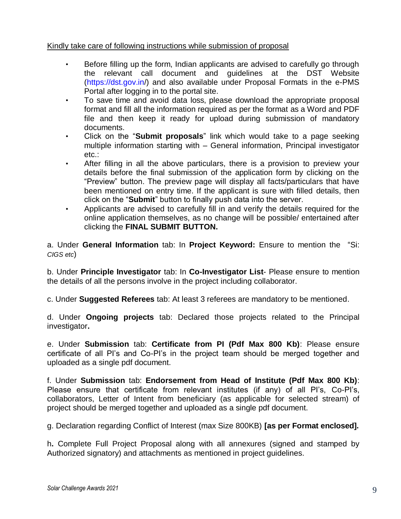## Kindly take care of following instructions while submission of proposal

- Before filling up the form, Indian applicants are advised to carefully go through the relevant call document and guidelines at the DST Website [\(https://dst.gov.in/\)](https://dst.gov.in/) and also available under Proposal Formats in the e-PMS Portal after logging in to the portal site.
- To save time and avoid data loss, please download the appropriate proposal format and fill all the information required as per the format as a Word and PDF file and then keep it ready for upload during submission of mandatory documents.
- Click on the "**Submit proposals**" link which would take to a page seeking multiple information starting with – General information, Principal investigator etc.:
- After filling in all the above particulars, there is a provision to preview your details before the final submission of the application form by clicking on the "Preview" button. The preview page will display all facts/particulars that have been mentioned on entry time. If the applicant is sure with filled details, then click on the "**Submit**" button to finally push data into the server.
- Applicants are advised to carefully fill in and verify the details required for the online application themselves, as no change will be possible/ entertained after clicking the **FINAL SUBMIT BUTTON.**

a. Under **General Information** tab: In **Project Keyword:** Ensure to mention the "Si: *CIGS etc*)

b. Under **Principle Investigator** tab: In **Co-Investigator List**- Please ensure to mention the details of all the persons involve in the project including collaborator.

c. Under **Suggested Referees** tab: At least 3 referees are mandatory to be mentioned.

d. Under **Ongoing projects** tab: Declared those projects related to the Principal investigator**.**

e. Under **Submission** tab: **Certificate from PI (Pdf Max 800 Kb)**: Please ensure certificate of all PI's and Co-PI's in the project team should be merged together and uploaded as a single pdf document.

f. Under **Submission** tab: **Endorsement from Head of Institute (Pdf Max 800 Kb)**: Please ensure that certificate from relevant institutes (if any) of all PI's, Co-PI's, collaborators, Letter of Intent from beneficiary (as applicable for selected stream) of project should be merged together and uploaded as a single pdf document.

g. Declaration regarding Conflict of Interest (max Size 800KB) **[as per Format enclosed].**

h**.** Complete Full Project Proposal along with all annexures (signed and stamped by Authorized signatory) and attachments as mentioned in project guidelines.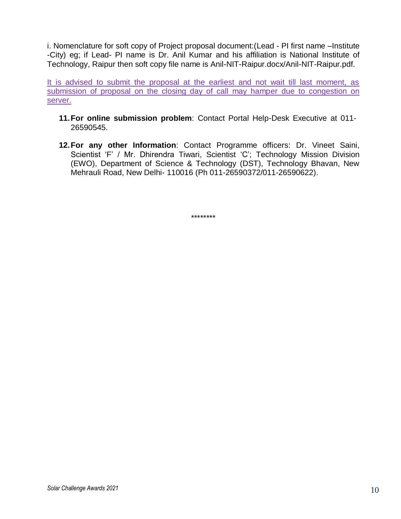i. Nomenclature for soft copy of Project proposal document:(Lead - PI first name –Institute -City) eg; if Lead- PI name is Dr. Anil Kumar and his affiliation is National Institute of Technology, Raipur then soft copy file name is Anil-NIT-Raipur.docx/Anil-NIT-Raipur.pdf.

It is advised to submit the proposal at the earliest and not wait till last moment, as submission of proposal on the closing day of call may hamper due to congestion on server.

- **11.For online submission problem**: Contact Portal Help-Desk Executive at 011- 26590545.
- **12.For any other Information**: Contact Programme officers: Dr. Vineet Saini, Scientist 'F' / Mr. Dhirendra Tiwari, Scientist 'C'; Technology Mission Division (EWO), Department of Science & Technology (DST), Technology Bhavan, New Mehrauli Road, New Delhi- 110016 (Ph 011-26590372/011-26590622).

\*\*\*\*\*\*\*\*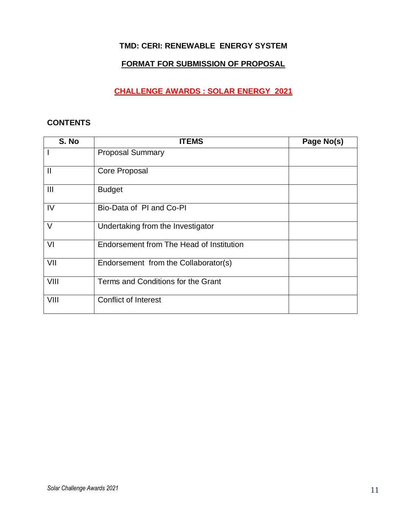# **TMD: CERI: RENEWABLE ENERGY SYSTEM**

# **FORMAT FOR SUBMISSION OF PROPOSAL**

# **CHALLENGE AWARDS : SOLAR ENERGY 2021**

#### **CONTENTS**

| S. No          | <b>ITEMS</b>                             | Page No(s) |
|----------------|------------------------------------------|------------|
|                | <b>Proposal Summary</b>                  |            |
| $\mathbf{I}$   | Core Proposal                            |            |
| $\mathbf{III}$ | <b>Budget</b>                            |            |
| IV             | Bio-Data of PI and Co-PI                 |            |
| $\vee$         | Undertaking from the Investigator        |            |
| VI             | Endorsement from The Head of Institution |            |
| VII            | Endorsement from the Collaborator(s)     |            |
| VIII           | Terms and Conditions for the Grant       |            |
| VIII           | <b>Conflict of Interest</b>              |            |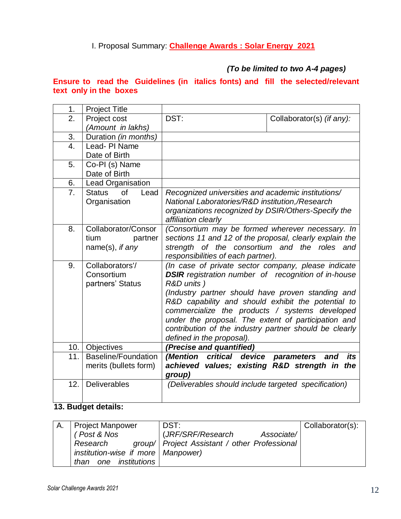I. Proposal Summary: **Challenge Awards : Solar Energy 2021** 

# *(To be limited to two A-4 pages)*

## **Ensure to read the Guidelines (in italics fonts) and fill the selected/relevant text only in the boxes**

| 1.               | <b>Project Title</b>        |                                                                                                             |                           |  |
|------------------|-----------------------------|-------------------------------------------------------------------------------------------------------------|---------------------------|--|
| 2.               | Project cost                | DST:                                                                                                        | Collaborator(s) (if any): |  |
|                  | (Amount in lakhs)           |                                                                                                             |                           |  |
| 3.               | Duration (in months)        |                                                                                                             |                           |  |
| $\overline{4}$ . | Lead-PI Name                |                                                                                                             |                           |  |
|                  | Date of Birth               |                                                                                                             |                           |  |
| 5.               | Co-PI (s) Name              |                                                                                                             |                           |  |
|                  | Date of Birth               |                                                                                                             |                           |  |
| 6.               | Lead Organisation           |                                                                                                             |                           |  |
| 7.               | of<br><b>Status</b><br>Lead | Recognized universities and academic institutions/                                                          |                           |  |
|                  | Organisation                | National Laboratories/R&D institution,/Research                                                             |                           |  |
|                  |                             | organizations recognized by DSIR/Others-Specify the                                                         |                           |  |
| 8.               | Collaborator/Consor         | affiliation clearly                                                                                         |                           |  |
|                  | tium<br>partner             | (Consortium may be formed wherever necessary. In<br>sections 11 and 12 of the proposal, clearly explain the |                           |  |
|                  | name(s), if any             | strength of the consortium and the roles and                                                                |                           |  |
|                  |                             | responsibilities of each partner).                                                                          |                           |  |
| 9.               | Collaborators'/             | (In case of private sector company, please indicate                                                         |                           |  |
|                  | Consortium                  | <b>DSIR</b> registration number of recognition of in-house                                                  |                           |  |
|                  | partners' Status            | R&D units)                                                                                                  |                           |  |
|                  |                             | (Industry partner should have proven standing and                                                           |                           |  |
|                  |                             | R&D capability and should exhibit the potential to                                                          |                           |  |
|                  |                             | commercialize the products / systems developed                                                              |                           |  |
|                  |                             | under the proposal. The extent of participation and                                                         |                           |  |
|                  |                             | contribution of the industry partner should be clearly                                                      |                           |  |
|                  |                             | defined in the proposal).                                                                                   |                           |  |
| 10.              | Objectives                  | (Precise and quantified)                                                                                    |                           |  |
| 11.              | <b>Baseline/Foundation</b>  | (Mention critical<br>device                                                                                 | its<br>parameters<br>and  |  |
|                  | merits (bullets form)       | achieved values; existing R&D strength in                                                                   | the                       |  |
|                  |                             | group)                                                                                                      |                           |  |
| 12.              | <b>Deliverables</b>         | (Deliverables should include targeted specification)                                                        |                           |  |
|                  |                             |                                                                                                             |                           |  |

## **13. Budget details:**

| <b>Project Manpower</b>              | DST:                                            | Collaborator(s): |
|--------------------------------------|-------------------------------------------------|------------------|
| Post & Nos                           | (JRF/SRF/Research<br>Associate/                 |                  |
| Research                             | group/   Project Assistant / other Professional |                  |
| institution-wise if more   Manpower) |                                                 |                  |
| one institutions<br>than             |                                                 |                  |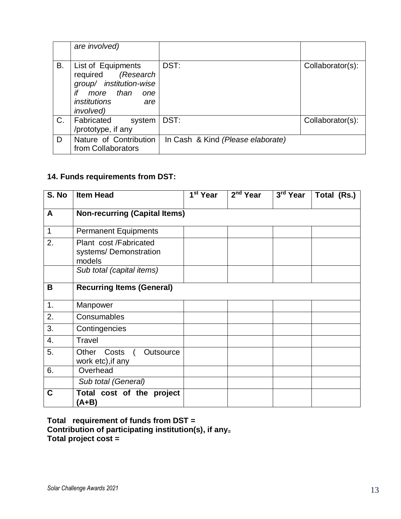|    | are involved)                                                                                                                                    |                                   |                  |
|----|--------------------------------------------------------------------------------------------------------------------------------------------------|-----------------------------------|------------------|
| В. | List of Equipments<br>required (Research<br>group/ institution-wise<br>if<br>more than<br>one<br><i>institutions</i><br>are<br><i>involved</i> ) | DST:                              | Collaborator(s): |
| C. | Fabricated<br>system<br>/prototype, if any                                                                                                       | DST:                              | Collaborator(s): |
| D  | Nature of Contribution<br>from Collaborators                                                                                                     | In Cash & Kind (Please elaborate) |                  |

# **14. Funds requirements from DST:**

| S. No       | <b>Item Head</b>                                         | 1 <sup>st</sup> Year | $2nd$ Year | 3rd Year | Total (Rs.) |
|-------------|----------------------------------------------------------|----------------------|------------|----------|-------------|
| A           | <b>Non-recurring (Capital Items)</b>                     |                      |            |          |             |
| $\mathbf 1$ | <b>Permanent Equipments</b>                              |                      |            |          |             |
| 2.          | Plant cost/Fabricated<br>systems/Demonstration<br>models |                      |            |          |             |
|             | Sub total (capital items)                                |                      |            |          |             |
| B           | <b>Recurring Items (General)</b>                         |                      |            |          |             |
| 1.          | Manpower                                                 |                      |            |          |             |
| 2.          | Consumables                                              |                      |            |          |             |
| 3.          | Contingencies                                            |                      |            |          |             |
| 4.          | Travel                                                   |                      |            |          |             |
| 5.          | Costs<br>Other<br>Outsource<br>work etc), if any         |                      |            |          |             |
| 6.          | Overhead                                                 |                      |            |          |             |
|             | Sub total (General)                                      |                      |            |          |             |
| C           | Total cost of the project<br>(A+B)                       |                      |            |          |             |

**Total requirement of funds from DST = Contribution of participating institution(s), if any<sup>=</sup> Total project cost =**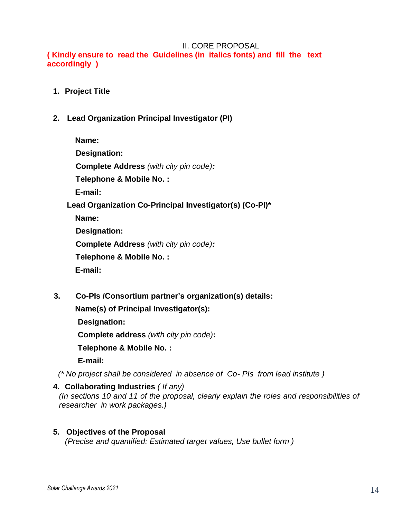#### II. CORE PROPOSAL

**( Kindly ensure to read the Guidelines (in italics fonts) and fill the text accordingly )**

- **1. Project Title**
- **2. Lead Organization Principal Investigator (PI)**

**Name: Designation: Complete Address** *(with city pin code):*  **Telephone & Mobile No. : E-mail: Lead Organization Co-Principal Investigator(s) (Co-PI)\* Name: Designation: Complete Address** *(with city pin code):*  **Telephone & Mobile No. : E-mail:**

 **3. Co-PIs /Consortium partner's organization(s) details:** 

 **Name(s) of Principal Investigator(s):**

 **Designation:**

 **Complete address** *(with city pin code)***:**

 **Telephone & Mobile No. :**

 **E-mail:**

 *(\* No project shall be considered in absence of Co- PIs from lead institute )*

- **4. Collaborating Industries** *( If any) (In sections 10 and 11 of the proposal, clearly explain the roles and responsibilities of researcher in work packages.)*
- **5. Objectives of the Proposal**  *(Precise and quantified: Estimated target values, Use bullet form )*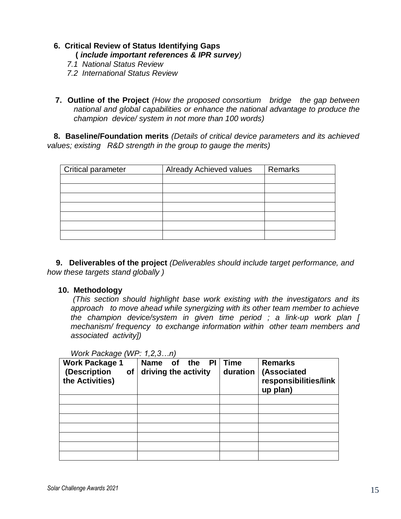# **6. Critical Review of Status Identifying Gaps (** *include important references & IPR survey)*

- *7.1 National Status Review*
- *7.2 International Status Review*

**7. Outline of the Project** *(How the proposed consortium bridge the gap between national and global capabilities or enhance the national advantage to produce the champion device/ system in not more than 100 words)*

 **8. Baseline/Foundation merits** *(Details of critical device parameters and its achieved values; existing R&D strength in the group to gauge the merits)*

| Critical parameter | <b>Already Achieved values</b> | Remarks |
|--------------------|--------------------------------|---------|
|                    |                                |         |
|                    |                                |         |
|                    |                                |         |
|                    |                                |         |
|                    |                                |         |
|                    |                                |         |
|                    |                                |         |

 **9. Deliverables of the project** *(Deliverables should include target performance, and how these targets stand globally )*

#### **10. Methodology**

*(This section should highlight base work existing with the investigators and its approach to move ahead while synergizing with its other team member to achieve the champion device/system in given time period ; a link-up work plan [ mechanism/ frequency to exchange information within other team members and associated activity])*

| <b>Work Package 1</b><br>(Description<br>οf<br>the Activities) | <b>Name</b><br><b>PI</b><br>the<br><b>of</b><br>driving the activity | <b>Time</b><br>duration | <b>Remarks</b><br>(Associated<br>responsibilities/link<br>up plan) |
|----------------------------------------------------------------|----------------------------------------------------------------------|-------------------------|--------------------------------------------------------------------|
|                                                                |                                                                      |                         |                                                                    |
|                                                                |                                                                      |                         |                                                                    |
|                                                                |                                                                      |                         |                                                                    |
|                                                                |                                                                      |                         |                                                                    |
|                                                                |                                                                      |                         |                                                                    |
|                                                                |                                                                      |                         |                                                                    |
|                                                                |                                                                      |                         |                                                                    |

*Work Package (WP: 1,2,3…n)*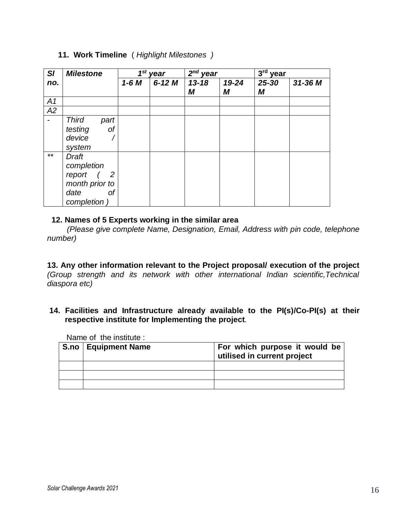| SI                       | <b>Milestone</b>                                                                  |        | $1st$ year | $2nd$ year     |            | $3rd$ year |         |
|--------------------------|-----------------------------------------------------------------------------------|--------|------------|----------------|------------|------------|---------|
| no.                      |                                                                                   | $1-6M$ | $6-12$ M   | $13 - 18$<br>М | 19-24<br>M | 25-30<br>М | 31-36 M |
| A1                       |                                                                                   |        |            |                |            |            |         |
| A2                       |                                                                                   |        |            |                |            |            |         |
| $\overline{\phantom{a}}$ | <b>Third</b><br>part<br>of<br>testing<br>device<br>system                         |        |            |                |            |            |         |
| $***$                    | Draft<br>completion<br>report<br>2<br>month prior to<br>date<br>Οf<br>completion) |        |            |                |            |            |         |

#### **11. Work Timeline** ( *Highlight Milestones )*

#### **12. Names of 5 Experts working in the similar area**

 *(Please give complete Name, Designation, Email, Address with pin code, telephone number)*

**13. Any other information relevant to the Project proposal/ execution of the project** *(Group strength and its network with other international Indian scientific,Technical diaspora etc)*

**14. Facilities and Infrastructure already available to the PI(s)/Co-PI(s) at their respective institute for Implementing the project***.*

Name of the institute :

| S.no   Equipment Name | For which purpose it would be<br>utilised in current project |
|-----------------------|--------------------------------------------------------------|
|                       |                                                              |
|                       |                                                              |
|                       |                                                              |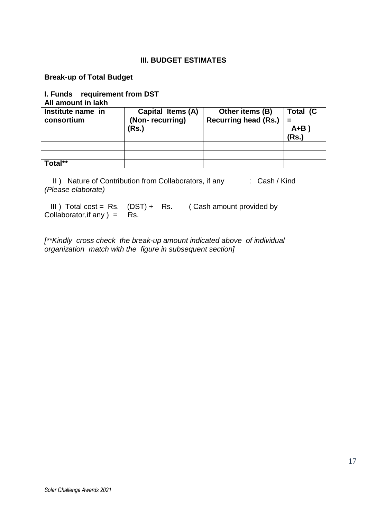## **III. BUDGET ESTIMATES**

**Break-up of Total Budget** 

#### **I. Funds requirement from DST All amount in lakh**

| AII AIIIVUIIL III IANII         |                                               |                                                |                              |
|---------------------------------|-----------------------------------------------|------------------------------------------------|------------------------------|
| Institute name in<br>consortium | Capital Items (A)<br>(Non-recurring)<br>(Rs.) | Other items (B)<br><b>Recurring head (Rs.)</b> | Total (C<br>$A + B$<br>(Rs.) |
|                                 |                                               |                                                |                              |
|                                 |                                               |                                                |                              |
| Total**                         |                                               |                                                |                              |

II) Nature of Contribution from Collaborators, if any : Cash / Kind *(Please elaborate)*

III) Total cost = Rs.  $(DST) + RS$ . (Cash amount provided by Collaborator, if any  $) =$  Rs.

*[\*\*Kindly cross check the break-up amount indicated above of individual organization match with the figure in subsequent section]*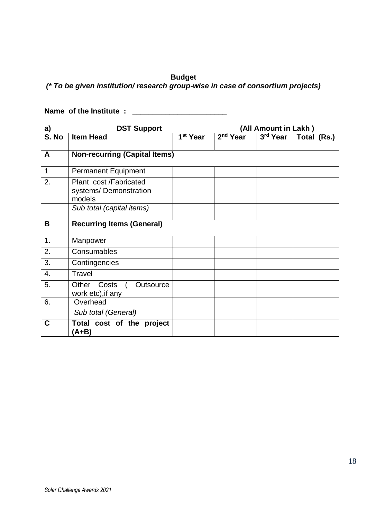## **Budget**

*(\* To be given institution/ research group-wise in case of consortium projects)*

**Name of the Institute : \_\_\_\_\_\_\_\_\_\_\_\_\_\_\_\_\_\_\_\_\_\_\_**

| a)                           | <b>DST Support</b>                                        | (All Amount in Lakh)              |            |            |             |
|------------------------------|-----------------------------------------------------------|-----------------------------------|------------|------------|-------------|
| $\overline{\mathsf{S}}$ . No | <b>Item Head</b>                                          | $\overline{1}$ <sup>st</sup> Year | $2nd$ Year | $3rd$ Year | Total (Rs.) |
| A                            | <b>Non-recurring (Capital Items)</b>                      |                                   |            |            |             |
| $\mathbf{1}$                 | <b>Permanent Equipment</b>                                |                                   |            |            |             |
| 2.                           | Plant cost /Fabricated<br>systems/Demonstration<br>models |                                   |            |            |             |
|                              | Sub total (capital items)                                 |                                   |            |            |             |
| B                            | <b>Recurring Items (General)</b>                          |                                   |            |            |             |
| 1.                           | Manpower                                                  |                                   |            |            |             |
| 2.                           | Consumables                                               |                                   |            |            |             |
| 3.                           | Contingencies                                             |                                   |            |            |             |
| 4.                           | Travel                                                    |                                   |            |            |             |
| 5.                           | Other<br>Costs<br>Outsource<br>work etc), if any          |                                   |            |            |             |
| 6.                           | Overhead                                                  |                                   |            |            |             |
|                              | Sub total (General)                                       |                                   |            |            |             |
| $\mathbf C$                  | Total cost of the project<br>(A+B)                        |                                   |            |            |             |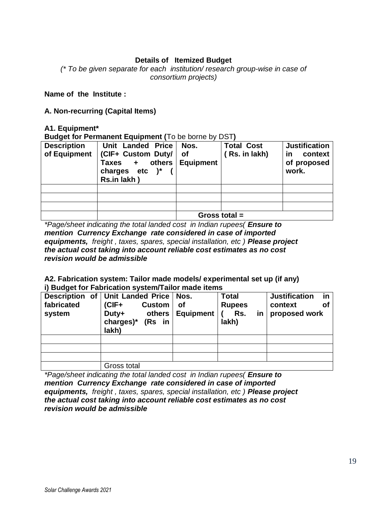## **Details of Itemized Budget**

*(\* To be given separate for each institution/ research group-wise in case of consortium projects)*

#### **Name of the Institute :**

### **A. Non-recurring (Capital Items)**

#### **A1. Equipment\***

**Budget for Permanent Equipment (**To be borne by DST**)**

| <b>Description</b> | Unit Landed Price                      | Nos.             | <b>Total Cost</b> | <b>Justification</b> |
|--------------------|----------------------------------------|------------------|-------------------|----------------------|
| of Equipment       | (CIF+ Custom Duty/                     | of               | (Rs. in lakh)     | context<br><u>in</u> |
|                    | others<br>Taxes +<br>charges etc $)^*$ | <b>Equipment</b> |                   | of proposed<br>work. |
|                    | Rs.in lakh)                            |                  |                   |                      |
|                    |                                        |                  |                   |                      |
|                    |                                        |                  |                   |                      |
|                    |                                        |                  |                   |                      |
|                    |                                        |                  |                   |                      |
|                    |                                        |                  | Gross total $=$   |                      |

*\*Page/sheet indicating the total landed cost in Indian rupees( Ensure to mention Currency Exchange rate considered in case of imported equipments, freight , taxes, spares, special installation, etc ) Please project the actual cost taking into account reliable cost estimates as no cost revision would be admissible*

#### **A2. Fabrication system: Tailor made models/ experimental set up (if any) i) Budget for Fabrication system/Tailor made items**

| fabricated<br>system | Description of Unit Landed Price   Nos.<br>$(CIF +$<br><b>Custom</b><br>Duty+<br>others<br>charges)*<br>(Rs in<br>lakh) | <b>of</b><br><b>Equipment</b> | <b>Total</b><br><b>Rupees</b><br>Rs.<br>in<br>lakh) | <b>Justification</b><br>in<br>context<br>Οf<br>proposed work |
|----------------------|-------------------------------------------------------------------------------------------------------------------------|-------------------------------|-----------------------------------------------------|--------------------------------------------------------------|
|                      |                                                                                                                         |                               |                                                     |                                                              |
|                      |                                                                                                                         |                               |                                                     |                                                              |
|                      |                                                                                                                         |                               |                                                     |                                                              |
|                      | Gross total                                                                                                             |                               |                                                     |                                                              |

*\*Page/sheet indicating the total landed cost in Indian rupees( Ensure to mention Currency Exchange rate considered in case of imported equipments, freight , taxes, spares, special installation, etc ) Please project the actual cost taking into account reliable cost estimates as no cost revision would be admissible*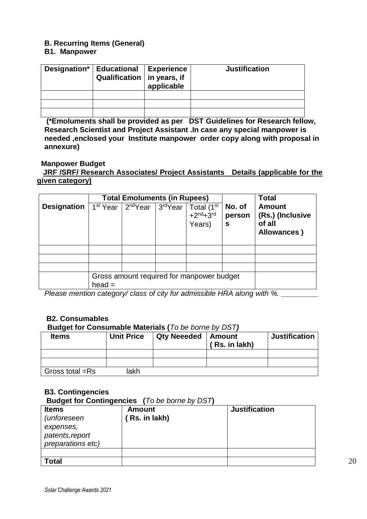# **B. Recurring Items (General)**

## **B1. Manpower**

| Designation* | <b>Educational</b><br>Qualification   in years, if | Experience<br>applicable | <b>Justification</b> |
|--------------|----------------------------------------------------|--------------------------|----------------------|
|              |                                                    |                          |                      |
|              |                                                    |                          |                      |
|              |                                                    |                          |                      |

**(\*Emoluments shall be provided as per DST Guidelines for Research fellow, Research Scientist and Project Assistant .In case any special manpower is needed ,enclosed your Institute manpower order copy along with proposal in annexure)**

#### **Manpower Budget**

## **JRF /SRF/ Research Associates/ Project Assistants Details (applicable for the given category)**

|                    | <b>Total Emoluments (in Rupees)</b>                   |                                             |  |                                    |                       | <b>Total</b>                                               |
|--------------------|-------------------------------------------------------|---------------------------------------------|--|------------------------------------|-----------------------|------------------------------------------------------------|
| <b>Designation</b> | 1 <sup>st</sup> Year                                  | 2 <sup>nd</sup> Year   3 <sup>rd</sup> Year |  | Total (1st<br>$+2nd+3rd$<br>Years) | No. of<br>person<br>S | <b>Amount</b><br>(Rs.) (Inclusive<br>of all<br>Allowances) |
|                    |                                                       |                                             |  |                                    |                       |                                                            |
|                    |                                                       |                                             |  |                                    |                       |                                                            |
|                    |                                                       |                                             |  |                                    |                       |                                                            |
|                    | Gross amount required for manpower budget<br>$head =$ |                                             |  |                                    |                       |                                                            |

*Please mention category/ class of city for admissible HRA along with %.* 

### **B2. Consumables**

#### **Budget for Consumable Materials (***To be borne by DST)*

| <b>Items</b>    | <b>Unit Price</b> | <b>Qty Neeeded   Amount</b> | (Rs. in lakh) | <b>Justification</b> |
|-----------------|-------------------|-----------------------------|---------------|----------------------|
|                 |                   |                             |               |                      |
|                 |                   |                             |               |                      |
| Gross total =Rs | lakh              |                             |               |                      |

### **B3. Contingencies**

**Budget for Contingencies (***To be borne by DST***)** 

| <b>Items</b>       | <b>Amount</b> | <b>Justification</b> |
|--------------------|---------------|----------------------|
| <i>(unforeseen</i> | Rs. in lakh)  |                      |
| expenses,          |               |                      |
| patents, report    |               |                      |
| preparations etc)  |               |                      |
|                    |               |                      |
| <b>Total</b>       |               |                      |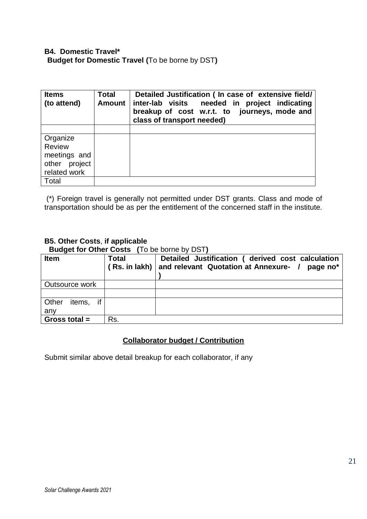| <b>Items</b><br>(to attend) | <b>Total</b><br><b>Amount</b> | Detailed Justification ( In case of extensive field/<br>inter-lab visits needed in project indicating<br>breakup of cost w.r.t. to journeys, mode and<br>class of transport needed) |
|-----------------------------|-------------------------------|-------------------------------------------------------------------------------------------------------------------------------------------------------------------------------------|
|                             |                               |                                                                                                                                                                                     |
| Organize                    |                               |                                                                                                                                                                                     |
| <b>Review</b>               |                               |                                                                                                                                                                                     |
| meetings and                |                               |                                                                                                                                                                                     |
| other project               |                               |                                                                                                                                                                                     |
| related work                |                               |                                                                                                                                                                                     |
| Total                       |                               |                                                                                                                                                                                     |

(\*) Foreign travel is generally not permitted under DST grants. Class and mode of transportation should be as per the entitlement of the concerned staff in the institute.

# **B5. Other Costs**, **if applicable**

**Budget for Other Costs (**To be borne by DST**)** 

| <b>Item</b>           | <b>Total</b><br>(Rs. in lak) | Detailed Justification ( derived cost calculation<br>and relevant Quotation at Annexure- /<br>page no* |
|-----------------------|------------------------------|--------------------------------------------------------------------------------------------------------|
| Outsource work        |                              |                                                                                                        |
|                       |                              |                                                                                                        |
| if<br>Other<br>items, |                              |                                                                                                        |
| any                   |                              |                                                                                                        |
| Gross total $=$       | Rs.                          |                                                                                                        |

## **Collaborator budget / Contribution**

Submit similar above detail breakup for each collaborator, if any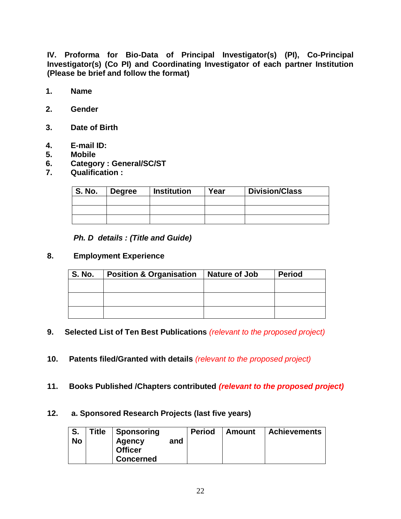**IV. Proforma for Bio-Data of Principal Investigator(s) (PI), Co-Principal Investigator(s) (Co PI) and Coordinating Investigator of each partner Institution (Please be brief and follow the format)**

- **1. Name**
- **2. Gender**
- **3. Date of Birth**
- **4. E-mail ID:**
- **5. Mobile**
- **6. Category : General/SC/ST**
- **7. Qualification :**

| <b>S. No.</b> | <b>Degree</b> | Institution | Year | <b>Division/Class</b> |
|---------------|---------------|-------------|------|-----------------------|
|               |               |             |      |                       |
|               |               |             |      |                       |
|               |               |             |      |                       |

#### *Ph. D details : (Title and Guide)*

#### **8. Employment Experience**

| S. No. | <b>Position &amp; Organisation</b> | <b>Nature of Job</b> | <b>Period</b> |
|--------|------------------------------------|----------------------|---------------|
|        |                                    |                      |               |
|        |                                    |                      |               |
|        |                                    |                      |               |
|        |                                    |                      |               |

#### **9. Selected List of Ten Best Publications** *(relevant to the proposed project)*

- **10. Patents filed/Granted with details** *(relevant to the proposed project)*
- **11. Books Published /Chapters contributed** *(relevant to the proposed project)*

## **12. a. Sponsored Research Projects (last five years)**

| S.<br><b>No</b> | <b>Title</b> | <b>Sponsoring</b><br>Agency<br><b>Officer</b><br><b>Concerned</b> | and | <b>Period</b> | Amount | <b>Achievements</b> |
|-----------------|--------------|-------------------------------------------------------------------|-----|---------------|--------|---------------------|
|-----------------|--------------|-------------------------------------------------------------------|-----|---------------|--------|---------------------|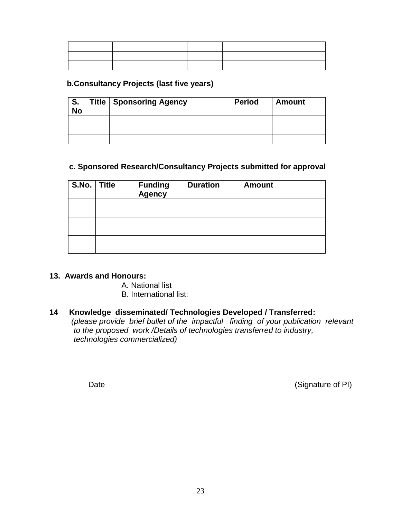#### **b.Consultancy Projects (last five years)**

| 'S.<br><b>No</b> | <b>Title   Sponsoring Agency</b> | <b>Period</b> | <b>Amount</b> |
|------------------|----------------------------------|---------------|---------------|
|                  |                                  |               |               |
|                  |                                  |               |               |
|                  |                                  |               |               |

### **c. Sponsored Research/Consultancy Projects submitted for approval**

| S.No. | <b>Title</b> | <b>Funding</b><br>Agency | <b>Duration</b> | <b>Amount</b> |
|-------|--------------|--------------------------|-----------------|---------------|
|       |              |                          |                 |               |
|       |              |                          |                 |               |
|       |              |                          |                 |               |

#### **13. Awards and Honours:**

- A. National list
- B. International list:

## **14 Knowledge disseminated/ Technologies Developed / Transferred:**

 *(please provide brief bullet of the impactful finding of your publication relevant to the proposed work /Details of technologies transferred to industry, technologies commercialized)*

Date (Signature of PI)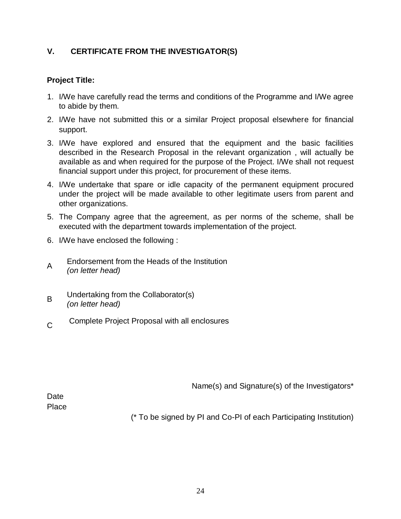# **V. CERTIFICATE FROM THE INVESTIGATOR(S)**

## **Project Title:**

- 1. I/We have carefully read the terms and conditions of the Programme and I/We agree to abide by them.
- 2. I/We have not submitted this or a similar Project proposal elsewhere for financial support.
- 3. I/We have explored and ensured that the equipment and the basic facilities described in the Research Proposal in the relevant organization , will actually be available as and when required for the purpose of the Project. I/We shall not request financial support under this project, for procurement of these items.
- 4. I/We undertake that spare or idle capacity of the permanent equipment procured under the project will be made available to other legitimate users from parent and other organizations.
- 5. The Company agree that the agreement, as per norms of the scheme, shall be executed with the department towards implementation of the project.
- 6. I/We have enclosed the following :
- A Endorsement from the Heads of the Institution *(on letter head)*
- B Undertaking from the Collaborator(s) *(on letter head)*
- $\overline{C}$ Complete Project Proposal with all enclosures

Name(s) and Signature(s) of the Investigators\*

**Date** Place

(\* To be signed by PI and Co-PI of each Participating Institution)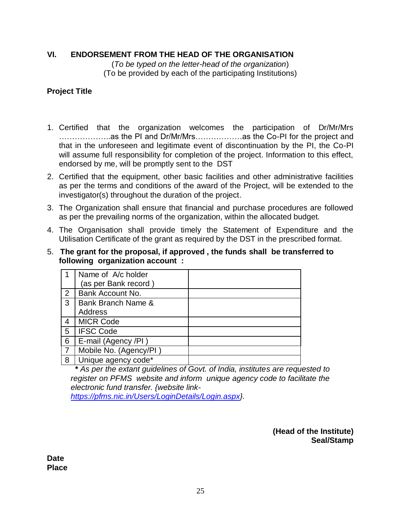## **VI. ENDORSEMENT FROM THE HEAD OF THE ORGANISATION**

(*To be typed on the letter-head of the organization*) (To be provided by each of the participating Institutions)

## **Project Title**

- 1. Certified that the organization welcomes the participation of Dr/Mr/Mrs ………………..as the PI and Dr/Mr/Mrs………………as the Co-PI for the project and that in the unforeseen and legitimate event of discontinuation by the PI, the Co-PI will assume full responsibility for completion of the project. Information to this effect, endorsed by me, will be promptly sent to the DST
- 2. Certified that the equipment, other basic facilities and other administrative facilities as per the terms and conditions of the award of the Project, will be extended to the investigator(s) throughout the duration of the project.
- 3. The Organization shall ensure that financial and purchase procedures are followed as per the prevailing norms of the organization, within the allocated budget.
- 4. The Organisation shall provide timely the Statement of Expenditure and the Utilisation Certificate of the grant as required by the DST in the prescribed format.
- 5. **The grant for the proposal, if approved , the funds shall be transferred to following organization account :**

| 1              | Name of A/c holder     |  |
|----------------|------------------------|--|
|                | (as per Bank record)   |  |
| 2              | Bank Account No.       |  |
| 3              | Bank Branch Name &     |  |
|                | Address                |  |
| 4              | <b>MICR Code</b>       |  |
| 5              | <b>IFSC Code</b>       |  |
| 6              | E-mail (Agency /PI)    |  |
| $\overline{7}$ | Mobile No. (Agency/PI) |  |
| 8              | Unique agency code*    |  |

 **\*** *As per the extant guidelines of Govt. of India, institutes are requested to register on PFMS website and inform unique agency code to facilitate the electronic fund transfer. {website link-*

*[https://pfms.nic.in/Users/LoginDetails/Login.aspx}](https://pfms.nic.in/Users/LoginDetails/Login.aspx).*

**(Head of the Institute) Seal/Stamp**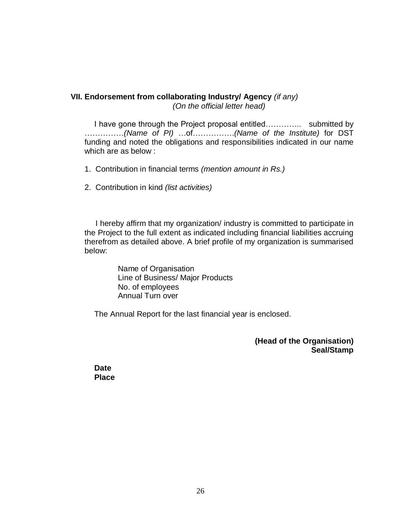## **VII. Endorsement from collaborating Industry/ Agency** *(if any) (On the official letter head)*

I have gone through the Project proposal entitled………….. submitted by ……………*(Name of PI)* …of…………….*(Name of the Institute)* for DST funding and noted the obligations and responsibilities indicated in our name which are as below :

1. Contribution in financial terms *(mention amount in Rs.)*

2. Contribution in kind *(list activities)*

 I hereby affirm that my organization/ industry is committed to participate in the Project to the full extent as indicated including financial liabilities accruing therefrom as detailed above. A brief profile of my organization is summarised below:

> Name of Organisation Line of Business/ Major Products No. of employees Annual Turn over

The Annual Report for the last financial year is enclosed.

**(Head of the Organisation) Seal/Stamp**

**Date Place**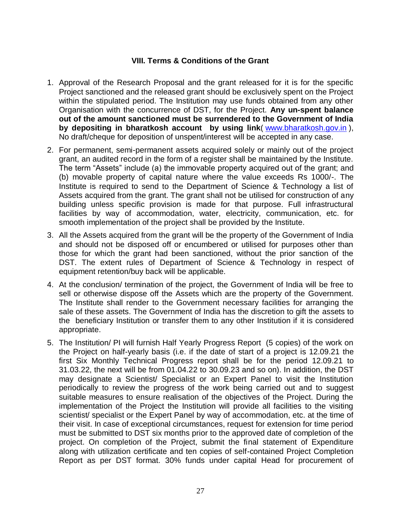## **VIII. Terms & Conditions of the Grant**

- 1. Approval of the Research Proposal and the grant released for it is for the specific Project sanctioned and the released grant should be exclusively spent on the Project within the stipulated period. The Institution may use funds obtained from any other Organisation with the concurrence of DST, for the Project. **Any un-spent balance out of the amount sanctioned must be surrendered to the Government of India by depositing in bharatkosh account by using link**( [www.bharatkosh.gov.in](http://www.bharatkosh.gov.in/) ), No draft/cheque for deposition of unspent/interest will be accepted in any case.
- 2. For permanent, semi-permanent assets acquired solely or mainly out of the project grant, an audited record in the form of a register shall be maintained by the Institute. The term "Assets" include (a) the immovable property acquired out of the grant; and (b) movable property of capital nature where the value exceeds Rs 1000/-. The Institute is required to send to the Department of Science & Technology a list of Assets acquired from the grant. The grant shall not be utilised for construction of any building unless specific provision is made for that purpose. Full infrastructural facilities by way of accommodation, water, electricity, communication, etc. for smooth implementation of the project shall be provided by the Institute.
- 3. All the Assets acquired from the grant will be the property of the Government of India and should not be disposed off or encumbered or utilised for purposes other than those for which the grant had been sanctioned, without the prior sanction of the DST. The extent rules of Department of Science & Technology in respect of equipment retention/buy back will be applicable.
- 4. At the conclusion/ termination of the project, the Government of India will be free to sell or otherwise dispose off the Assets which are the property of the Government. The Institute shall render to the Government necessary facilities for arranging the sale of these assets. The Government of India has the discretion to gift the assets to the beneficiary Institution or transfer them to any other Institution if it is considered appropriate.
- 5. The Institution/ PI will furnish Half Yearly Progress Report (5 copies) of the work on the Project on half-yearly basis (i.e. if the date of start of a project is 12.09.21 the first Six Monthly Technical Progress report shall be for the period 12.09.21 to 31.03.22, the next will be from 01.04.22 to 30.09.23 and so on). In addition, the DST may designate a Scientist/ Specialist or an Expert Panel to visit the Institution periodically to review the progress of the work being carried out and to suggest suitable measures to ensure realisation of the objectives of the Project. During the implementation of the Project the Institution will provide all facilities to the visiting scientist/ specialist or the Expert Panel by way of accommodation, etc. at the time of their visit. In case of exceptional circumstances, request for extension for time period must be submitted to DST six months prior to the approved date of completion of the project. On completion of the Project, submit the final statement of Expenditure along with utilization certificate and ten copies of self-contained Project Completion Report as per DST format. 30% funds under capital Head for procurement of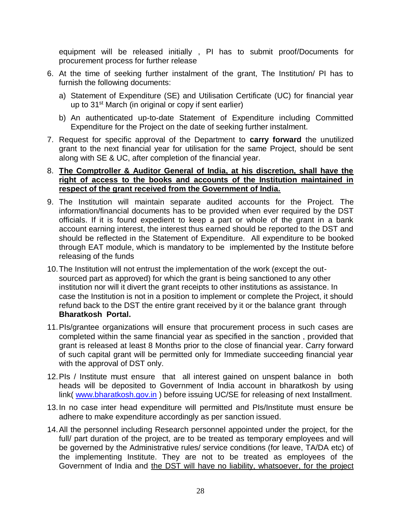equipment will be released initially , PI has to submit proof/Documents for procurement process for further release

- 6. At the time of seeking further instalment of the grant, The Institution/ PI has to furnish the following documents:
	- a) Statement of Expenditure (SE) and Utilisation Certificate (UC) for financial year up to 31<sup>st</sup> March (in original or copy if sent earlier)
	- b) An authenticated up-to-date Statement of Expenditure including Committed Expenditure for the Project on the date of seeking further instalment.
- 7. Request for specific approval of the Department to **carry forward** the unutilized grant to the next financial year for utilisation for the same Project, should be sent along with SE & UC, after completion of the financial year.

### 8. **The Comptroller & Auditor General of India, at his discretion, shall have the right of access to the books and accounts of the Institution maintained in respect of the grant received from the Government of India.**

- 9. The Institution will maintain separate audited accounts for the Project. The information/financial documents has to be provided when ever required by the DST officials. If it is found expedient to keep a part or whole of the grant in a bank account earning interest, the interest thus earned should be reported to the DST and should be reflected in the Statement of Expenditure. All expenditure to be booked through EAT module, which is mandatory to be implemented by the Institute before releasing of the funds
- 10.The Institution will not entrust the implementation of the work (except the outsourced part as approved) for which the grant is being sanctioned to any other institution nor will it divert the grant receipts to other institutions as assistance. In case the Institution is not in a position to implement or complete the Project, it should refund back to the DST the entire grant received by it or the balance grant through **Bharatkosh Portal.**
- 11.PIs/grantee organizations will ensure that procurement process in such cases are completed within the same financial year as specified in the sanction , provided that grant is released at least 8 Months prior to the close of financial year. Carry forward of such capital grant will be permitted only for Immediate succeeding financial year with the approval of DST only.
- 12.PIs / Institute must ensure that all interest gained on unspent balance in both heads will be deposited to Government of India account in bharatkosh by using link( [www.bharatkosh.gov.in](http://www.bharatkosh.gov.in/)) before issuing UC/SE for releasing of next Installment.
- 13.In no case inter head expenditure will permitted and PIs/Institute must ensure be adhere to make expenditure accordingly as per sanction issued.
- 14.All the personnel including Research personnel appointed under the project, for the full/ part duration of the project, are to be treated as temporary employees and will be governed by the Administrative rules/ service conditions (for leave, TA/DA etc) of the implementing Institute. They are not to be treated as employees of the Government of India and the DST will have no liability, whatsoever, for the project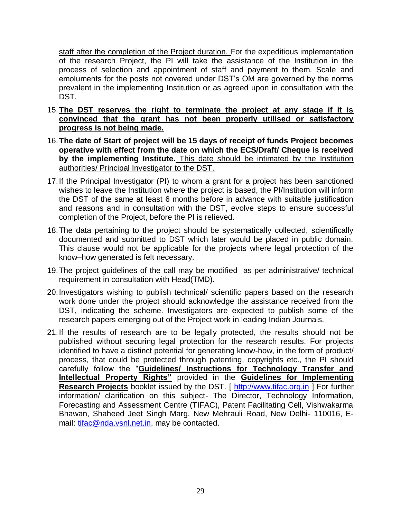staff after the completion of the Project duration. For the expeditious implementation of the research Project, the PI will take the assistance of the Institution in the process of selection and appointment of staff and payment to them. Scale and emoluments for the posts not covered under DST's OM are governed by the norms prevalent in the implementing Institution or as agreed upon in consultation with the DST.

- 15.**The DST reserves the right to terminate the project at any stage if it is convinced that the grant has not been properly utilised or satisfactory progress is not being made.**
- 16.**The date of Start of project will be 15 days of receipt of funds Project becomes operative with effect from the date on which the ECS/Draft/ Cheque is received by the implementing Institute.** This date should be intimated by the Institution authorities/ Principal Investigator to the DST.
- 17.If the Principal Investigator (PI) to whom a grant for a project has been sanctioned wishes to leave the Institution where the project is based, the PI/Institution will inform the DST of the same at least 6 months before in advance with suitable justification and reasons and in consultation with the DST, evolve steps to ensure successful completion of the Project, before the PI is relieved.
- 18.The data pertaining to the project should be systematically collected, scientifically documented and submitted to DST which later would be placed in public domain. This clause would not be applicable for the projects where legal protection of the know–how generated is felt necessary.
- 19.The project guidelines of the call may be modified as per administrative/ technical requirement in consultation with Head(TMD).
- 20.Investigators wishing to publish technical/ scientific papers based on the research work done under the project should acknowledge the assistance received from the DST, indicating the scheme. Investigators are expected to publish some of the research papers emerging out of the Project work in leading Indian Journals.
- 21.If the results of research are to be legally protected, the results should not be published without securing legal protection for the research results. For projects identified to have a distinct potential for generating know-how, in the form of product/ process, that could be protected through patenting, copyrights etc., the PI should carefully follow the "**Guidelines/ Instructions for Technology Transfer and Intellectual Property Rights"** provided in the **Guidelines for Implementing Research Projects** booklet issued by the DST. [ [http://www.tifac.org.in](http://www.tifac.org.in/) ] For further information/ clarification on this subject- The Director, Technology Information, Forecasting and Assessment Centre (TIFAC), Patent Facilitating Cell, Vishwakarma Bhawan, Shaheed Jeet Singh Marg, New Mehrauli Road, New Delhi- 110016, Email: [tifac@nda.vsnl.net.in,](mailto:tifac@giasdl01.vsnl.net.in?cc=tifacinfo@tifac.org.in) may be contacted.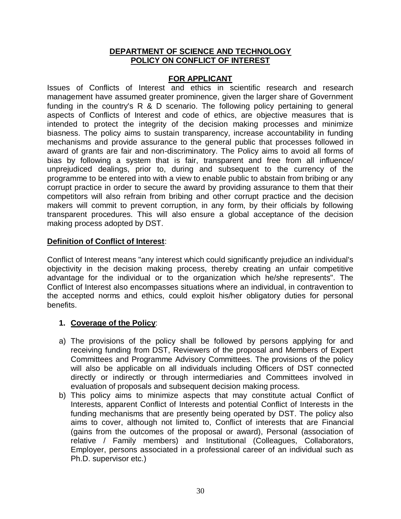### **DEPARTMENT OF SCIENCE AND TECHNOLOGY POLICY ON CONFLICT OF INTEREST**

### **FOR APPLICANT**

Issues of Conflicts of Interest and ethics in scientific research and research management have assumed greater prominence, given the larger share of Government funding in the country's R & D scenario. The following policy pertaining to general aspects of Conflicts of Interest and code of ethics, are objective measures that is intended to protect the integrity of the decision making processes and minimize biasness. The policy aims to sustain transparency, increase accountability in funding mechanisms and provide assurance to the general public that processes followed in award of grants are fair and non-discriminatory. The Policy aims to avoid all forms of bias by following a system that is fair, transparent and free from all influence/ unprejudiced dealings, prior to, during and subsequent to the currency of the programme to be entered into with a view to enable public to abstain from bribing or any corrupt practice in order to secure the award by providing assurance to them that their competitors will also refrain from bribing and other corrupt practice and the decision makers will commit to prevent corruption, in any form, by their officials by following transparent procedures. This will also ensure a global acceptance of the decision making process adopted by DST.

#### **Definition of Conflict of Interest**:

Conflict of Interest means "any interest which could significantly prejudice an individual's objectivity in the decision making process, thereby creating an unfair competitive advantage for the individual or to the organization which he/she represents". The Conflict of Interest also encompasses situations where an individual, in contravention to the accepted norms and ethics, could exploit his/her obligatory duties for personal benefits.

## **1. Coverage of the Policy**:

- a) The provisions of the policy shall be followed by persons applying for and receiving funding from DST, Reviewers of the proposal and Members of Expert Committees and Programme Advisory Committees. The provisions of the policy will also be applicable on all individuals including Officers of DST connected directly or indirectly or through intermediaries and Committees involved in evaluation of proposals and subsequent decision making process.
- b) This policy aims to minimize aspects that may constitute actual Conflict of Interests, apparent Conflict of Interests and potential Conflict of Interests in the funding mechanisms that are presently being operated by DST. The policy also aims to cover, although not limited to, Conflict of interests that are Financial (gains from the outcomes of the proposal or award), Personal (association of relative / Family members) and Institutional (Colleagues, Collaborators, Employer, persons associated in a professional career of an individual such as Ph.D. supervisor etc.)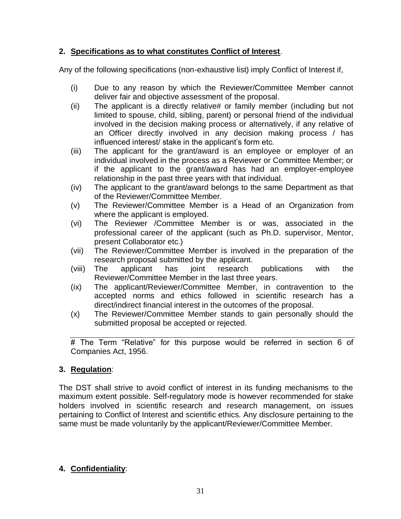# **2. Specifications as to what constitutes Conflict of Interest**.

Any of the following specifications (non-exhaustive list) imply Conflict of Interest if,

- (i) Due to any reason by which the Reviewer/Committee Member cannot deliver fair and objective assessment of the proposal.
- (ii) The applicant is a directly relative# or family member (including but not limited to spouse, child, sibling, parent) or personal friend of the individual involved in the decision making process or alternatively, if any relative of an Officer directly involved in any decision making process / has influenced interest/ stake in the applicant's form etc.
- (iii) The applicant for the grant/award is an employee or employer of an individual involved in the process as a Reviewer or Committee Member; or if the applicant to the grant/award has had an employer-employee relationship in the past three years with that individual.
- (iv) The applicant to the grant/award belongs to the same Department as that of the Reviewer/Committee Member.
- (v) The Reviewer/Committee Member is a Head of an Organization from where the applicant is employed.
- (vi) The Reviewer /Committee Member is or was, associated in the professional career of the applicant (such as Ph.D. supervisor, Mentor, present Collaborator etc.)
- (vii) The Reviewer/Committee Member is involved in the preparation of the research proposal submitted by the applicant.
- (viii) The applicant has joint research publications with the Reviewer/Committee Member in the last three years.
- (ix) The applicant/Reviewer/Committee Member, in contravention to the accepted norms and ethics followed in scientific research has a direct/indirect financial interest in the outcomes of the proposal.
- (x) The Reviewer/Committee Member stands to gain personally should the submitted proposal be accepted or rejected.

# The Term "Relative" for this purpose would be referred in section 6 of Companies Act, 1956.

# **3. Regulation**:

The DST shall strive to avoid conflict of interest in its funding mechanisms to the maximum extent possible. Self-regulatory mode is however recommended for stake holders involved in scientific research and research management, on issues pertaining to Conflict of Interest and scientific ethics. Any disclosure pertaining to the same must be made voluntarily by the applicant/Reviewer/Committee Member.

# **4. Confidentiality**: